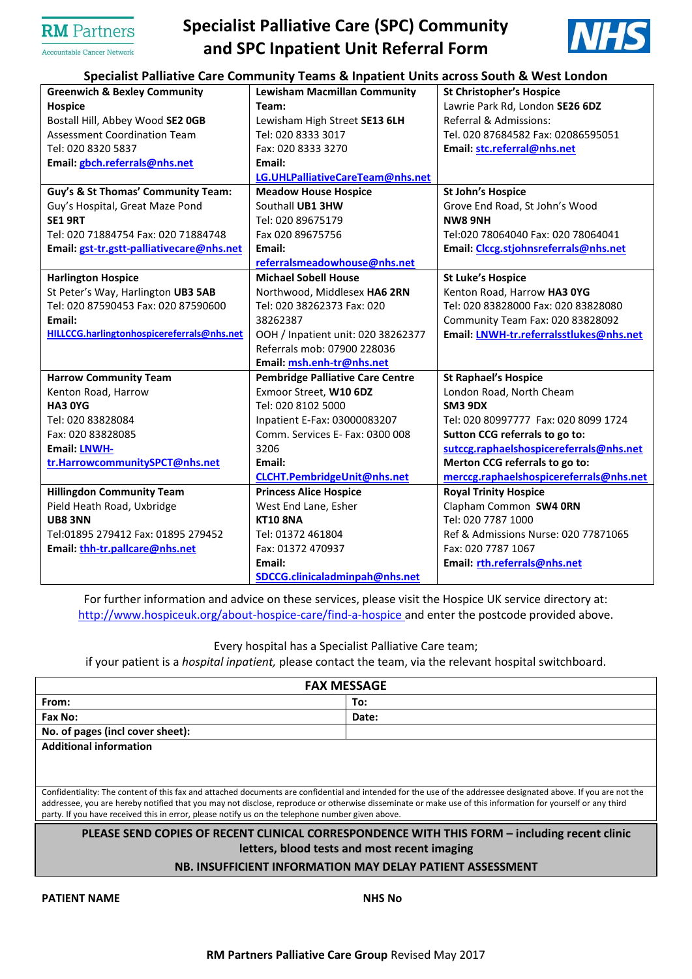## **RM** Partners

Accountable Cancer Network

# **Specialist Palliative Care (SPC) Community and SPC Inpatient Unit Referral Form**



### **Specialist Palliative Care Community Teams & Inpatient Units across South & West London**

| Specialist Palilative Care Community Teams & inpatient Onlis across South & West London |                                         |                                         |  |  |  |  |
|-----------------------------------------------------------------------------------------|-----------------------------------------|-----------------------------------------|--|--|--|--|
| <b>Greenwich &amp; Bexley Community</b>                                                 | <b>Lewisham Macmillan Community</b>     | <b>St Christopher's Hospice</b>         |  |  |  |  |
| <b>Hospice</b>                                                                          | Team:                                   | Lawrie Park Rd, London SE26 6DZ         |  |  |  |  |
| Bostall Hill, Abbey Wood SE2 OGB                                                        | Lewisham High Street SE13 6LH           | Referral & Admissions:                  |  |  |  |  |
| <b>Assessment Coordination Team</b>                                                     | Tel: 020 8333 3017                      | Tel. 020 87684582 Fax: 02086595051      |  |  |  |  |
| Tel: 020 8320 5837                                                                      | Fax: 020 8333 3270                      | Email: stc.referral@nhs.net             |  |  |  |  |
| Email: gbch.referrals@nhs.net                                                           | Email:                                  |                                         |  |  |  |  |
|                                                                                         | LG.UHLPalliativeCareTeam@nhs.net        |                                         |  |  |  |  |
| Guy's & St Thomas' Community Team:                                                      | <b>Meadow House Hospice</b>             | <b>St John's Hospice</b>                |  |  |  |  |
| Guy's Hospital, Great Maze Pond                                                         | Southall UB1 3HW                        | Grove End Road, St John's Wood          |  |  |  |  |
| <b>SE1 9RT</b>                                                                          | Tel: 020 89675179                       | <b>NW8 9NH</b>                          |  |  |  |  |
| Tel: 020 71884754 Fax: 020 71884748                                                     | Fax 020 89675756                        | Tel:020 78064040 Fax: 020 78064041      |  |  |  |  |
| Email: gst-tr.gstt-palliativecare@nhs.net                                               | Email:                                  | Email: Clccg.stjohnsreferrals@nhs.net   |  |  |  |  |
|                                                                                         | referralsmeadowhouse@nhs.net            |                                         |  |  |  |  |
| <b>Harlington Hospice</b>                                                               | <b>Michael Sobell House</b>             | <b>St Luke's Hospice</b>                |  |  |  |  |
| St Peter's Way, Harlington UB3 5AB                                                      | Northwood, Middlesex HA6 2RN            | Kenton Road, Harrow HA3 OYG             |  |  |  |  |
| Tel: 020 87590453 Fax: 020 87590600                                                     | Tel: 020 38262373 Fax: 020              | Tel: 020 83828000 Fax: 020 83828080     |  |  |  |  |
| Email:                                                                                  | 38262387                                | Community Team Fax: 020 83828092        |  |  |  |  |
| HILLCCG.harlingtonhospicereferrals@nhs.net                                              | OOH / Inpatient unit: 020 38262377      | Email: LNWH-tr.referralsstlukes@nhs.net |  |  |  |  |
|                                                                                         | Referrals mob: 07900 228036             |                                         |  |  |  |  |
|                                                                                         | Email: msh.enh-tr@nhs.net               |                                         |  |  |  |  |
| <b>Harrow Community Team</b>                                                            | <b>Pembridge Palliative Care Centre</b> | <b>St Raphael's Hospice</b>             |  |  |  |  |
| Kenton Road, Harrow                                                                     | Exmoor Street, W10 6DZ                  | London Road, North Cheam                |  |  |  |  |
| <b>HA3 0YG</b>                                                                          | Tel: 020 8102 5000                      | SM3 9DX                                 |  |  |  |  |
| Tel: 020 83828084                                                                       | Inpatient E-Fax: 03000083207            | Tel: 020 80997777 Fax: 020 8099 1724    |  |  |  |  |
| Fax: 020 83828085                                                                       | Comm. Services E- Fax: 0300 008         | Sutton CCG referrals to go to:          |  |  |  |  |
| <b>Email: LNWH-</b>                                                                     | 3206                                    | sutccg.raphaelshospicereferrals@nhs.net |  |  |  |  |
| tr.HarrowcommunitySPCT@nhs.net                                                          | Email:                                  | Merton CCG referrals to go to:          |  |  |  |  |
|                                                                                         | <b>CLCHT.PembridgeUnit@nhs.net</b>      | merccg.raphaelshospicereferrals@nhs.net |  |  |  |  |
| <b>Hillingdon Community Team</b>                                                        | <b>Princess Alice Hospice</b>           | <b>Royal Trinity Hospice</b>            |  |  |  |  |
| Pield Heath Road, Uxbridge                                                              | West End Lane, Esher                    | Clapham Common SW4 ORN                  |  |  |  |  |
| <b>UB8 3NN</b>                                                                          | <b>KT10 8NA</b>                         | Tel: 020 7787 1000                      |  |  |  |  |
| Tel:01895 279412 Fax: 01895 279452                                                      | Tel: 01372 461804                       | Ref & Admissions Nurse: 020 77871065    |  |  |  |  |
| Email: thh-tr.pallcare@nhs.net                                                          | Fax: 01372 470937                       | Fax: 020 7787 1067                      |  |  |  |  |
|                                                                                         | Email:                                  | Email: rth.referrals@nhs.net            |  |  |  |  |
|                                                                                         | SDCCG.clinicaladminpah@nhs.net          |                                         |  |  |  |  |

For further information and advice on these services, please visit the Hospice UK service directory at: <http://www.hospiceuk.org/about-hospice-care/find-a-hospice> and enter the postcode provided above.

Every hospital has a Specialist Palliative Care team;

if your patient is a *hospital inpatient,* please contact the team, via the relevant hospital switchboard.

| <b>FAX MESSAGE</b>                                                                                                                                                                                                                                                                                                                                                                                                                |       |  |  |  |  |
|-----------------------------------------------------------------------------------------------------------------------------------------------------------------------------------------------------------------------------------------------------------------------------------------------------------------------------------------------------------------------------------------------------------------------------------|-------|--|--|--|--|
| From:                                                                                                                                                                                                                                                                                                                                                                                                                             | To:   |  |  |  |  |
| Fax No:                                                                                                                                                                                                                                                                                                                                                                                                                           | Date: |  |  |  |  |
| No. of pages (incl cover sheet):                                                                                                                                                                                                                                                                                                                                                                                                  |       |  |  |  |  |
| <b>Additional information</b>                                                                                                                                                                                                                                                                                                                                                                                                     |       |  |  |  |  |
|                                                                                                                                                                                                                                                                                                                                                                                                                                   |       |  |  |  |  |
|                                                                                                                                                                                                                                                                                                                                                                                                                                   |       |  |  |  |  |
| Confidentiality: The content of this fax and attached documents are confidential and intended for the use of the addressee designated above. If you are not the<br>addressee, you are hereby notified that you may not disclose, reproduce or otherwise disseminate or make use of this information for yourself or any third<br>party. If you have received this in error, please notify us on the telephone number given above. |       |  |  |  |  |
| PLEASE SEND COPIES OF RECENT CLINICAL CORRESPONDENCE WITH THIS FORM - including recent clinic                                                                                                                                                                                                                                                                                                                                     |       |  |  |  |  |
| letters, blood tests and most recent imaging                                                                                                                                                                                                                                                                                                                                                                                      |       |  |  |  |  |

#### **NB. INSUFFICIENT INFORMATION MAY DELAY PATIENT ASSESSMENT**

**PATIENT NAME NHS No**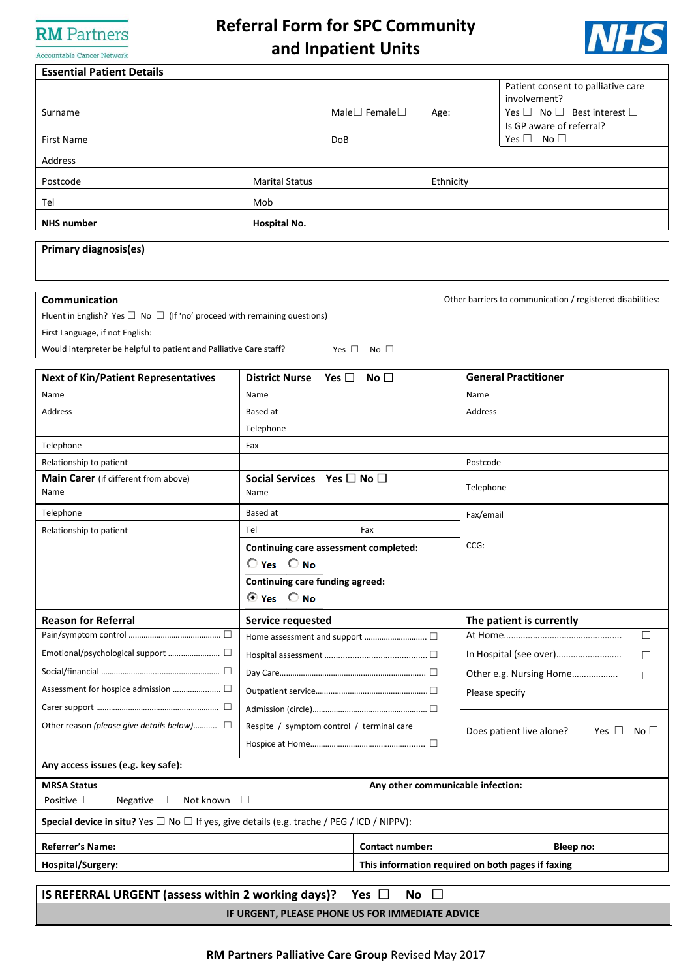## **RM** Partners Accountable Cancer Network

# **Referral Form for SPC Community and Inpatient Units**



| <b>Essential Patient Details</b>                                                                                           |                                                                  |                        |                |                                                                       |  |
|----------------------------------------------------------------------------------------------------------------------------|------------------------------------------------------------------|------------------------|----------------|-----------------------------------------------------------------------|--|
|                                                                                                                            |                                                                  |                        |                | Patient consent to palliative care<br>involvement?                    |  |
| Surname                                                                                                                    | Male $\square$ Female $\square$<br>Age:                          |                        |                | Yes $\Box$ No $\Box$ Best interest $\Box$<br>Is GP aware of referral? |  |
| <b>First Name</b>                                                                                                          | <b>DoB</b>                                                       |                        |                | Yes $\Box$ No $\Box$                                                  |  |
| Address                                                                                                                    |                                                                  |                        |                |                                                                       |  |
| Postcode                                                                                                                   | <b>Marital Status</b>                                            |                        | Ethnicity      |                                                                       |  |
| Tel                                                                                                                        | Mob                                                              |                        |                |                                                                       |  |
| <b>NHS number</b>                                                                                                          | Hospital No.                                                     |                        |                |                                                                       |  |
| <b>Primary diagnosis(es)</b>                                                                                               |                                                                  |                        |                |                                                                       |  |
| Communication                                                                                                              |                                                                  |                        |                | Other barriers to communication / registered disabilities:            |  |
| Fluent in English? Yes $\Box$ No $\Box$ (If 'no' proceed with remaining questions)                                         |                                                                  |                        |                |                                                                       |  |
| First Language, if not English:                                                                                            |                                                                  |                        |                |                                                                       |  |
| Would interpreter be helpful to patient and Palliative Care staff?                                                         | Yes $\Box$                                                       | No $\square$           |                |                                                                       |  |
| <b>Next of Kin/Patient Representatives</b>                                                                                 | Yes $\square$<br><b>District Nurse</b>                           | No $\Box$              |                | <b>General Practitioner</b>                                           |  |
| Name                                                                                                                       | Name                                                             |                        | Name           |                                                                       |  |
| Address                                                                                                                    | Based at                                                         |                        | Address        |                                                                       |  |
|                                                                                                                            | Telephone                                                        |                        |                |                                                                       |  |
| Telephone                                                                                                                  | Fax                                                              |                        |                |                                                                       |  |
| Relationship to patient                                                                                                    |                                                                  |                        | Postcode       |                                                                       |  |
| <b>Main Carer</b> (if different from above)<br>Name                                                                        | Social Services Yes $\Box$ No $\Box$<br>Name                     |                        | Telephone      |                                                                       |  |
| Telephone                                                                                                                  | Based at                                                         |                        | Fax/email      |                                                                       |  |
| Relationship to patient                                                                                                    | Tel                                                              | Fax                    |                |                                                                       |  |
|                                                                                                                            | Continuing care assessment completed:                            |                        | CCG:           |                                                                       |  |
|                                                                                                                            | $O$ Yes $O$ No                                                   |                        |                |                                                                       |  |
|                                                                                                                            | <b>Continuing care funding agreed:</b><br>$\odot$ Yes $\odot$ No |                        |                |                                                                       |  |
| <b>Reason for Referral</b>                                                                                                 | Service requested                                                |                        |                | The patient is currently                                              |  |
|                                                                                                                            |                                                                  |                        |                | □                                                                     |  |
|                                                                                                                            |                                                                  |                        |                | □                                                                     |  |
|                                                                                                                            |                                                                  |                        |                | Other e.g. Nursing Home<br>□                                          |  |
|                                                                                                                            |                                                                  |                        | Please specify |                                                                       |  |
|                                                                                                                            |                                                                  |                        |                |                                                                       |  |
| Other reason (please give details below) □                                                                                 | Respite / symptom control / terminal care                        |                        |                | Does patient live alone?<br>Yes $\square$<br>No $\square$             |  |
|                                                                                                                            |                                                                  |                        |                |                                                                       |  |
| Any access issues (e.g. key safe):                                                                                         |                                                                  |                        |                |                                                                       |  |
| Any other communicable infection:<br><b>MRSA Status</b><br>Positive $\square$<br>Negative $\square$<br>Not known<br>$\Box$ |                                                                  |                        |                |                                                                       |  |
| <b>Special device in situ?</b> Yes $\Box$ No $\Box$ If yes, give details (e.g. trache / PEG / ICD / NIPPV):                |                                                                  |                        |                |                                                                       |  |
| Referrer's Name:                                                                                                           |                                                                  | <b>Contact number:</b> |                | Bleep no:                                                             |  |
| Hospital/Surgery:                                                                                                          | This information required on both pages if faxing                |                        |                |                                                                       |  |
| IS REFERRAL URGENT (assess within 2 working days)?<br>Yes $\Box$<br>No $\square$                                           |                                                                  |                        |                |                                                                       |  |
| IF URGENT, PLEASE PHONE US FOR IMMEDIATE ADVICE                                                                            |                                                                  |                        |                |                                                                       |  |